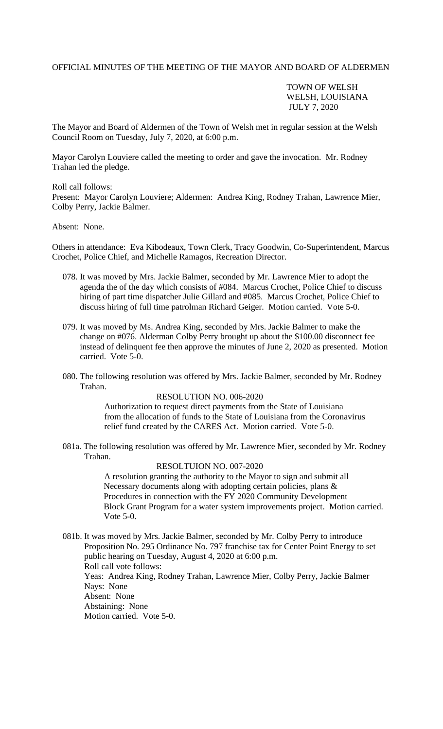## OFFICIAL MINUTES OF THE MEETING OF THE MAYOR AND BOARD OF ALDERMEN

TOWN OF WELSH WELSH, LOUISIANA JULY 7, 2020

The Mayor and Board of Aldermen of the Town of Welsh met in regular session at the Welsh Council Room on Tuesday, July 7, 2020, at 6:00 p.m.

Mayor Carolyn Louviere called the meeting to order and gave the invocation. Mr. Rodney Trahan led the pledge.

Roll call follows:

Present: Mayor Carolyn Louviere; Aldermen: Andrea King, Rodney Trahan, Lawrence Mier, Colby Perry, Jackie Balmer.

Absent: None.

Others in attendance: Eva Kibodeaux, Town Clerk, Tracy Goodwin, Co-Superintendent, Marcus Crochet, Police Chief, and Michelle Ramagos, Recreation Director.

- 078. It was moved by Mrs. Jackie Balmer, seconded by Mr. Lawrence Mier to adopt the agenda the of the day which consists of #084. Marcus Crochet, Police Chief to discuss hiring of part time dispatcher Julie Gillard and #085. Marcus Crochet, Police Chief to discuss hiring of full time patrolman Richard Geiger. Motion carried. Vote 5-0.
- 079. It was moved by Ms. Andrea King, seconded by Mrs. Jackie Balmer to make the change on #076. Alderman Colby Perry brought up about the \$100.00 disconnect fee instead of delinquent fee then approve the minutes of June 2, 2020 as presented. Motion carried. Vote 5-0.
- 080. The following resolution was offered by Mrs. Jackie Balmer, seconded by Mr. Rodney Trahan.

## RESOLUTION NO. 006-2020

Authorization to request direct payments from the State of Louisiana from the allocation of funds to the State of Louisiana from the Coronavirus relief fund created by the CARES Act. Motion carried. Vote 5-0.

081a. The following resolution was offered by Mr. Lawrence Mier, seconded by Mr. Rodney Trahan.

## RESOLTUION NO. 007-2020

A resolution granting the authority to the Mayor to sign and submit all Necessary documents along with adopting certain policies, plans & Procedures in connection with the FY 2020 Community Development Block Grant Program for a water system improvements project. Motion carried. Vote 5-0.

081b. It was moved by Mrs. Jackie Balmer, seconded by Mr. Colby Perry to introduce Proposition No. 295 Ordinance No. 797 franchise tax for Center Point Energy to set public hearing on Tuesday, August 4, 2020 at 6:00 p.m. Roll call vote follows: Yeas: Andrea King, Rodney Trahan, Lawrence Mier, Colby Perry, Jackie Balmer Nays: None Absent: None Abstaining: None Motion carried. Vote 5-0.